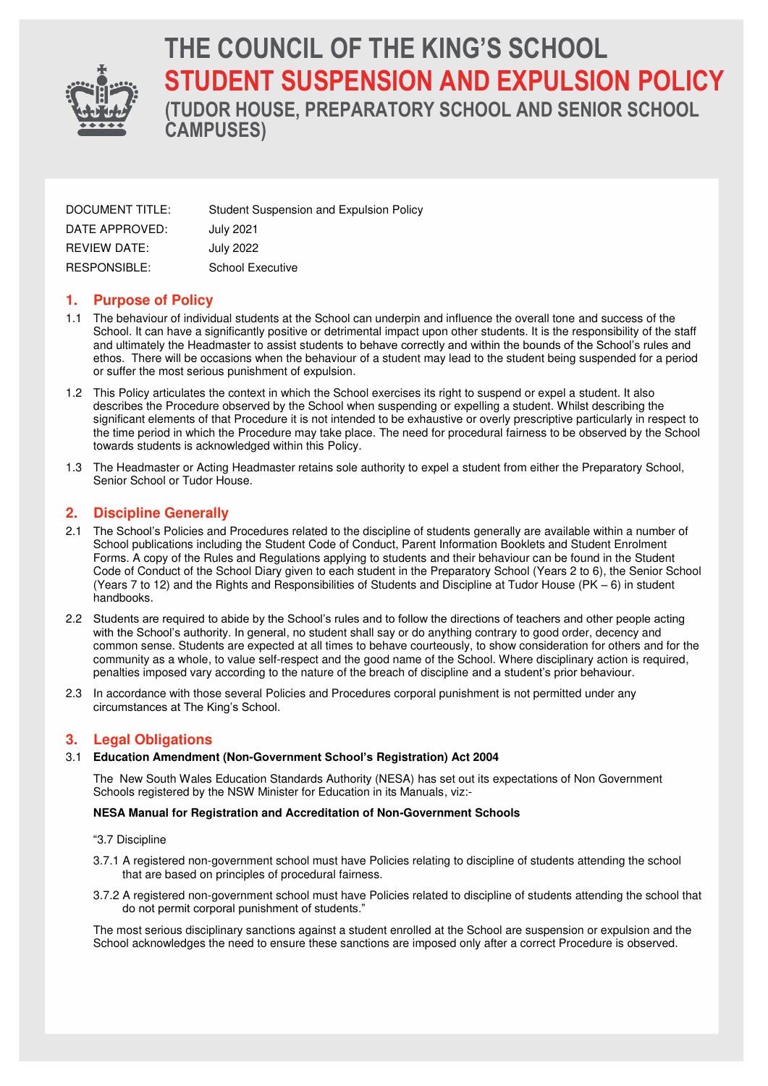

# **THE COUNCIL OF THE KING'S SCHOOL STUDENT SUSPENSION AND EXPULSION POLICY**

**(TUDOR HOUSE, PREPARATORY SCHOOL AND SENIOR SCHOOL CAMPUSES)** 

| DOCUMENT TITLE:     | Student Suspension and Expulsion Policy |
|---------------------|-----------------------------------------|
| DATE APPROVED:      | July 2021                               |
| <b>REVIEW DATE:</b> | July 2022                               |
| RESPONSIBLE:        | School Executive                        |

# **1. Purpose of Policy**

- 1.1 The behaviour of individual students at the School can underpin and influence the overall tone and success of the School. It can have a significantly positive or detrimental impact upon other students. It is the responsibility of the staff and ultimately the Headmaster to assist students to behave correctly and within the bounds of the School's rules and ethos. There will be occasions when the behaviour of a student may lead to the student being suspended for a period or suffer the most serious punishment of expulsion.
- 1.2 This Policy articulates the context in which the School exercises its right to suspend or expel a student. It also describes the Procedure observed by the School when suspending or expelling a student. Whilst describing the significant elements of that Procedure it is not intended to be exhaustive or overly prescriptive particularly in respect to the time period in which the Procedure may take place. The need for procedural fairness to be observed by the School towards students is acknowledged within this Policy.
- 1.3 The Headmaster or Acting Headmaster retains sole authority to expel a student from either the Preparatory School, Senior School or Tudor House.

# **2. Discipline Generally**

- 2.1 The School's Policies and Procedures related to the discipline of students generally are available within a number of School publications including the Student Code of Conduct, Parent Information Booklets and Student Enrolment Forms. A copy of the Rules and Regulations applying to students and their behaviour can be found in the Student Code of Conduct of the School Diary given to each student in the Preparatory School (Years 2 to 6), the Senior School (Years 7 to 12) and the Rights and Responsibilities of Students and Discipline at Tudor House (PK – 6) in student handbooks.
- 2.2 Students are required to abide by the School's rules and to follow the directions of teachers and other people acting with the School's authority. In general, no student shall say or do anything contrary to good order, decency and common sense. Students are expected at all times to behave courteously, to show consideration for others and for the community as a whole, to value self-respect and the good name of the School. Where disciplinary action is required, penalties imposed vary according to the nature of the breach of discipline and a student's prior behaviour.
- 2.3 In accordance with those several Policies and Procedures corporal punishment is not permitted under any circumstances at The King's School.

## **3. Legal Obligations**

#### 3.1 **Education Amendment (Non-Government School's Registration) Act 2004**

The New South Wales Education Standards Authority (NESA) has set out its expectations of Non Government Schools registered by the NSW Minister for Education in its Manuals, viz:-

#### **NESA Manual for Registration and Accreditation of Non-Government Schools**

#### "3.7 Discipline

- 3.7.1 A registered non-government school must have Policies relating to discipline of students attending the school that are based on principles of procedural fairness.
- 3.7.2 A registered non-government school must have Policies related to discipline of students attending the school that do not permit corporal punishment of students."

 The most serious disciplinary sanctions against a student enrolled at the School are suspension or expulsion and the School acknowledges the need to ensure these sanctions are imposed only after a correct Procedure is observed.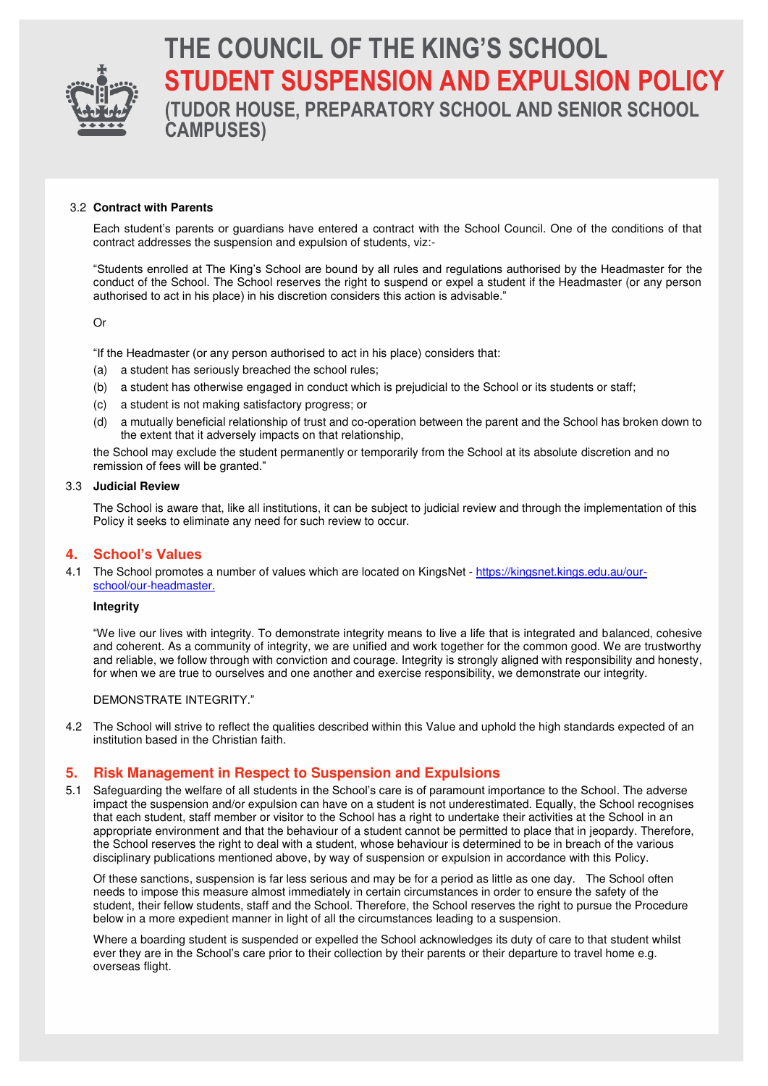

# **THE COUNCIL OF THE KING'S SCHOOL STUDENT SUSPENSION AND EXPULSION POLICY (TUDOR HOUSE, PREPARATORY SCHOOL AND SENIOR SCHOOL**

#### 3.2 **Contract with Parents**

Each student's parents or guardians have entered a contract with the School Council. One of the conditions of that contract addresses the suspension and expulsion of students, viz:-

"Students enrolled at The King's School are bound by all rules and regulations authorised by the Headmaster for the conduct of the School. The School reserves the right to suspend or expel a student if the Headmaster (or any person authorised to act in his place) in his discretion considers this action is advisable."

Or

"If the Headmaster (or any person authorised to act in his place) considers that:

(a) a student has seriously breached the school rules;

**CAMPUSES)** 

- (b) a student has otherwise engaged in conduct which is prejudicial to the School or its students or staff;
- (c) a student is not making satisfactory progress; or
- (d) a mutually beneficial relationship of trust and co-operation between the parent and the School has broken down to the extent that it adversely impacts on that relationship,

the School may exclude the student permanently or temporarily from the School at its absolute discretion and no remission of fees will be granted."

#### 3.3 **Judicial Review**

The School is aware that, like all institutions, it can be subject to judicial review and through the implementation of this Policy it seeks to eliminate any need for such review to occur.

## **4. School's Values**

4.1 The School promotes a number of values which are located on KingsNet - [https://kingsnet.kings.edu.au/our](https://kingsnet.kings.edu.au/our-school/our-headmaster)[school/our-headmaster.](https://kingsnet.kings.edu.au/our-school/our-headmaster)

#### **Integrity**

"We live our lives with integrity. To demonstrate integrity means to live a life that is integrated and balanced, cohesive and coherent. As a community of integrity, we are unified and work together for the common good. We are trustworthy and reliable, we follow through with conviction and courage. Integrity is strongly aligned with responsibility and honesty, for when we are true to ourselves and one another and exercise responsibility, we demonstrate our integrity.

#### DEMONSTRATE INTEGRITY."

4.2 The School will strive to reflect the qualities described within this Value and uphold the high standards expected of an institution based in the Christian faith.

## **5. Risk Management in Respect to Suspension and Expulsions**

5.1 Safeguarding the welfare of all students in the School's care is of paramount importance to the School. The adverse impact the suspension and/or expulsion can have on a student is not underestimated. Equally, the School recognises that each student, staff member or visitor to the School has a right to undertake their activities at the School in an appropriate environment and that the behaviour of a student cannot be permitted to place that in jeopardy. Therefore, the School reserves the right to deal with a student, whose behaviour is determined to be in breach of the various disciplinary publications mentioned above, by way of suspension or expulsion in accordance with this Policy.

Of these sanctions, suspension is far less serious and may be for a period as little as one day. The School often needs to impose this measure almost immediately in certain circumstances in order to ensure the safety of the student, their fellow students, staff and the School. Therefore, the School reserves the right to pursue the Procedure below in a more expedient manner in light of all the circumstances leading to a suspension.

Where a boarding student is suspended or expelled the School acknowledges its duty of care to that student whilst ever they are in the School's care prior to their collection by their parents or their departure to travel home e.g. overseas flight.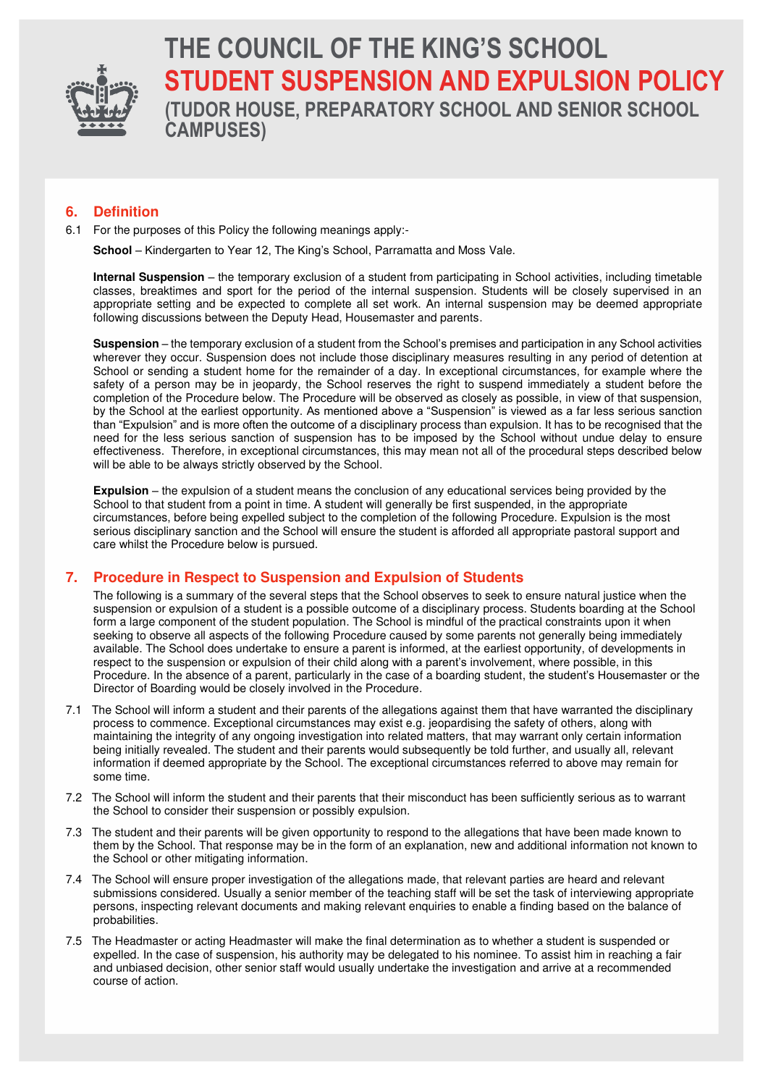

# **THE COUNCIL OF THE KING'S SCHOOL STUDENT SUSPENSION AND EXPULSION POLICY (TUDOR HOUSE, PREPARATORY SCHOOL AND SENIOR SCHOOL CAMPUSES)**

# **6. Definition**

6.1 For the purposes of this Policy the following meanings apply:-

**School** – Kindergarten to Year 12, The King's School, Parramatta and Moss Vale.

**Internal Suspension** – the temporary exclusion of a student from participating in School activities, including timetable classes, breaktimes and sport for the period of the internal suspension. Students will be closely supervised in an appropriate setting and be expected to complete all set work. An internal suspension may be deemed appropriate following discussions between the Deputy Head, Housemaster and parents.

**Suspension** – the temporary exclusion of a student from the School's premises and participation in any School activities wherever they occur. Suspension does not include those disciplinary measures resulting in any period of detention at School or sending a student home for the remainder of a day. In exceptional circumstances, for example where the safety of a person may be in jeopardy, the School reserves the right to suspend immediately a student before the completion of the Procedure below. The Procedure will be observed as closely as possible, in view of that suspension, by the School at the earliest opportunity. As mentioned above a "Suspension" is viewed as a far less serious sanction than "Expulsion" and is more often the outcome of a disciplinary process than expulsion. It has to be recognised that the need for the less serious sanction of suspension has to be imposed by the School without undue delay to ensure effectiveness. Therefore, in exceptional circumstances, this may mean not all of the procedural steps described below will be able to be always strictly observed by the School.

**Expulsion** – the expulsion of a student means the conclusion of any educational services being provided by the School to that student from a point in time. A student will generally be first suspended, in the appropriate circumstances, before being expelled subject to the completion of the following Procedure. Expulsion is the most serious disciplinary sanction and the School will ensure the student is afforded all appropriate pastoral support and care whilst the Procedure below is pursued.

## **7. Procedure in Respect to Suspension and Expulsion of Students**

The following is a summary of the several steps that the School observes to seek to ensure natural justice when the suspension or expulsion of a student is a possible outcome of a disciplinary process. Students boarding at the School form a large component of the student population. The School is mindful of the practical constraints upon it when seeking to observe all aspects of the following Procedure caused by some parents not generally being immediately available. The School does undertake to ensure a parent is informed, at the earliest opportunity, of developments in respect to the suspension or expulsion of their child along with a parent's involvement, where possible, in this Procedure. In the absence of a parent, particularly in the case of a boarding student, the student's Housemaster or the Director of Boarding would be closely involved in the Procedure.

- 7.1 The School will inform a student and their parents of the allegations against them that have warranted the disciplinary process to commence. Exceptional circumstances may exist e.g. jeopardising the safety of others, along with maintaining the integrity of any ongoing investigation into related matters, that may warrant only certain information being initially revealed. The student and their parents would subsequently be told further, and usually all, relevant information if deemed appropriate by the School. The exceptional circumstances referred to above may remain for some time.
- 7.2 The School will inform the student and their parents that their misconduct has been sufficiently serious as to warrant the School to consider their suspension or possibly expulsion.
- 7.3 The student and their parents will be given opportunity to respond to the allegations that have been made known to them by the School. That response may be in the form of an explanation, new and additional information not known to the School or other mitigating information.
- 7.4 The School will ensure proper investigation of the allegations made, that relevant parties are heard and relevant submissions considered. Usually a senior member of the teaching staff will be set the task of interviewing appropriate persons, inspecting relevant documents and making relevant enquiries to enable a finding based on the balance of probabilities.
- 7.5 The Headmaster or acting Headmaster will make the final determination as to whether a student is suspended or expelled. In the case of suspension, his authority may be delegated to his nominee. To assist him in reaching a fair and unbiased decision, other senior staff would usually undertake the investigation and arrive at a recommended course of action.